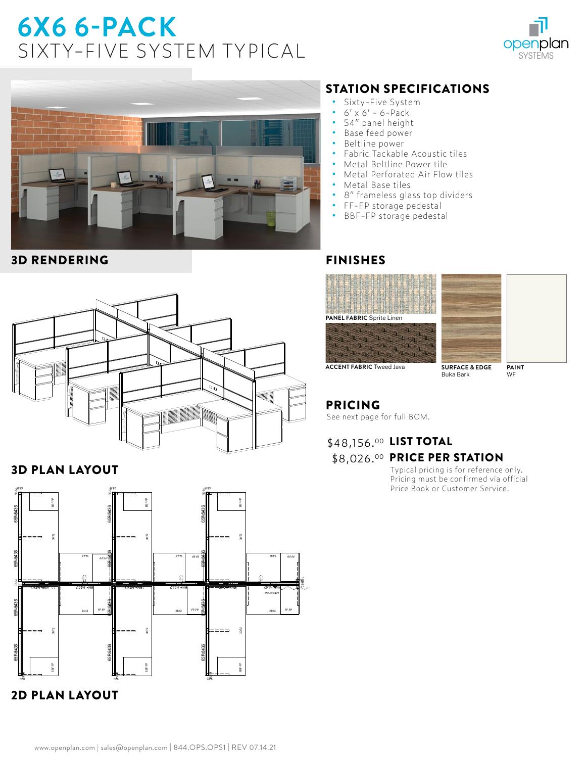# **6X6 6-PACK**  SIXTY-FIVE SYSTEM TYPICAL





#### 3D RENDERING



### 3D PLAN LAYOUT



## STATION SPECIFICATIONS

- Sixty-Five System<br>• 6' x 6' 6-Pack
- **•** 6' x 6' 6-Pack
- **•** 54" panel height
- **•** Base feed power
- **•** Beltline power
- **•** Fabric Tackable Acoustic tiles
- **•** Metal Beltline Power tile
- **•** Metal Perforated Air Flow tiles
- **•** Metal Base tiles
- **•** 8" frameless glass top dividers
- **•** FF-FP storage pedestal
- **•** BBF-FP storage pedestal

#### FINISHES





**ACCENT FABRIC** Tweed Java **SURFACE & EDGE** Buka Bark

**PAINT** WF

## PRICING

See next page for full BOM.

## \$48,156.00 LIST TOTAL \$8,026.<sup>00</sup> PRICE PER STATION

Typical pricing is for reference only. Pricing must be confirmed via official Price Book or Customer Service.